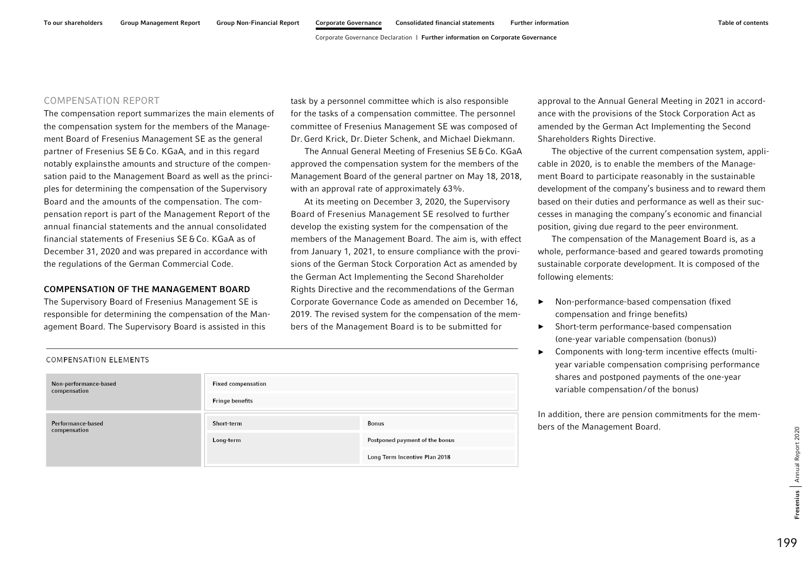## COMPENSATION REPORT

The compensation report summarizes the main elements of the compensation system for the members of the Management Board of Fresenius Management SE as the general partner of Fresenius SE&Co. KGaA, and in this regard notably explainsthe amounts and structure of the compensation paid to the Management Board as well as the principles for determining the compensation of the Supervisory Board and the amounts of the compensation. The compensation report is part of the Management Report of the annual financial statements and the annual consolidated financial statements of Fresenius SE&Co. KGaA as of December 31, 2020 and was prepared in accordance with the regulations of the German Commercial Code.

## COMPENSATION OF THE MANAGEMENT BOARD

The Supervisory Board of Fresenius Management SE is responsible for determining the compensation of the Management Board. The Supervisory Board is assisted in this

task by a personnel committee which is also responsible for the tasks of a compensation committee. The personnel committee of Fresenius Management SE was composed of Dr. Gerd Krick, Dr.Dieter Schenk, and Michael Diekmann.

The Annual General Meeting of Fresenius SE&Co. KGaA approved the compensation system for the members of the Management Board of the general partner on May 18, 2018, with an approval rate of approximately 63%.

At its meeting on December 3, 2020, the Supervisory Board of Fresenius Management SE resolved to further develop the existing system for the compensation of the members of the Management Board. The aim is, with effect from January 1, 2021, to ensure compliance with the provisions of the German Stock Corporation Act as amended by the German Act Implementing the Second Shareholder Rights Directive and the recommendations of the German Corporate Governance Code as amended on December 16, 2019. The revised system for the compensation of the members of the Management Board is to be submitted for

approval to the Annual General Meeting in 2021 in accordance with the provisions of the Stock Corporation Act as amended by the German Act Implementing the Second Shareholders Rights Directive.

The objective of the current compensation system, applicable in 2020, is to enable the members of the Management Board to participate reasonably in the sustainable development of the company's business and to reward them based on their duties and performance as well as their successes in managing the company's economic and financial position, giving due regard to the peer environment.

The compensation of the Management Board is, as a whole, performance-based and geared towards promoting sustainable corporate development. It is composed of the following elements:

- ► Non-performance-based compensation (fixed compensation and fringe benefits)
- ► Short-term performance-based compensation (one-year variable compensation (bonus))
- ► Components with long-term incentive effects (multiyear variable compensation comprising performance shares and postponed payments of the one-year variable compensation/ of the bonus)

In addition, there are pension commitments for the members of the Management Board.

| COMPENSATION ELEMENTS                 |                           |                                |
|---------------------------------------|---------------------------|--------------------------------|
| Non-performance-based<br>compensation | <b>Fixed compensation</b> |                                |
|                                       | <b>Fringe benefits</b>    |                                |
| Performance-based<br>compensation     | Short-term                | <b>Bonus</b>                   |
|                                       | Long-term                 | Postponed payment of the bonus |
|                                       |                           | Long Term Incentive Plan 2018  |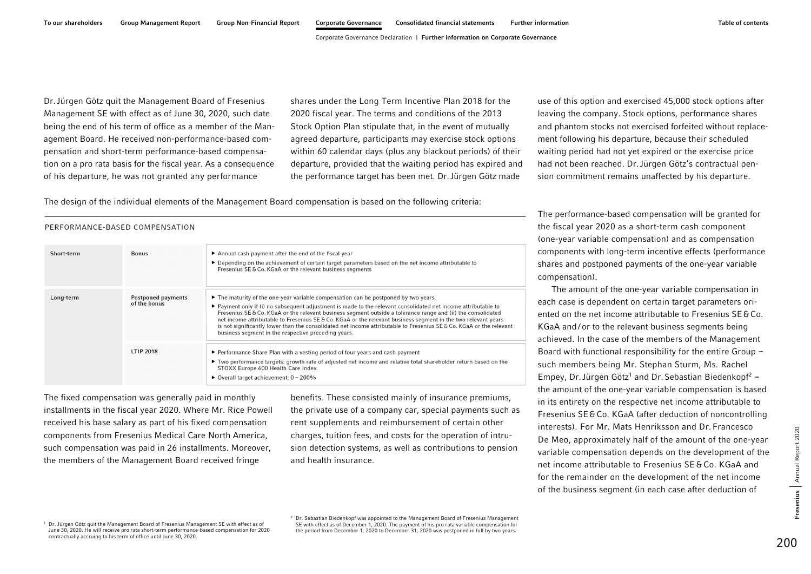Dr.Jürgen Götz quit the Management Board of Fresenius Management SE with effect as of June 30, 2020, such date being the end of his term of office as a member of the Management Board. He received non-performance-based compensation and short-term performance-based compensation on a pro rata basis for the fiscal year. As a consequence of his departure, he was not granted any performance

shares under the Long Term Incentive Plan 2018 for the 2020 fiscal year. The terms and conditions of the 2013 Stock Option Plan stipulate that, in the event of mutually agreed departure, participants may exercise stock options within 60 calendar days (plus any blackout periods) of their departure, provided that the waiting period has expired and the performance target has been met. Dr.Jürgen Götz made

use of this option and exercised 45,000 stock options after leaving the company. Stock options, performance shares and phantom stocks not exercised forfeited without replacement following his departure, because their scheduled waiting period had not yet expired or the exercise price had not been reached. Dr.Jürgen Götz's contractual pension commitment remains unaffected by his departure.

The design of the individual elements of the Management Board compensation is based on the following criteria:

The performance-based compensation will be granted for the fiscal year 2020 as a short-term cash component (one-year variable compensation) and as compensation components with long-term incentive effects (performance shares and postponed payments of the one-year variable compensation).

The amount of the one-year variable compensation in each case is dependent on certain target parameters oriented on the net income attributable to Fresenius SE&Co. KGaA and/ or to the relevant business segments being achieved. In the case of the members of the Management Board with functional responsibility for the entire Group  $$ such members being Mr. Stephan Sturm, Ms. Rachel Empey, Dr. Jürgen Götz<sup>1</sup> and Dr. Sebastian Biedenkopf<sup>2</sup> the amount of the one-year variable compensation is based in its entirety on the respective net income attributable to Fresenius SE&Co. KGaA (after deduction of noncontrolling interests). For Mr. Mats Henriksson and Dr. Francesco De Meo, approximately half of the amount of the one-year variable compensation depends on the development of the net income attributable to Fresenius SE&Co. KGaA and for the remainder on the development of the net income of the business segment (in each case after deduction of

## PERFORMANCE-BASED COMPENSATION

| Short-term | <b>Bonus</b>                       | Annual cash payment after the end of the fiscal year<br>▶ Depending on the achievement of certain target parameters based on the net income attributable to<br>Fresenius SE & Co. KGaA or the relevant business segments                                                                                                                                                                                                                                                                                                                                                                                                                                |
|------------|------------------------------------|---------------------------------------------------------------------------------------------------------------------------------------------------------------------------------------------------------------------------------------------------------------------------------------------------------------------------------------------------------------------------------------------------------------------------------------------------------------------------------------------------------------------------------------------------------------------------------------------------------------------------------------------------------|
| Long-term  | Postponed payments<br>of the bonus | $\triangleright$ The maturity of the one-year variable compensation can be postponed by two years.<br>$\blacktriangleright$ Payment only if (i) no subsequent adjustment is made to the relevant consolidated net income attributable to<br>Fresenius SE & Co. KGaA or the relevant business segment outside a tolerance range and (ii) the consolidated<br>net income attributable to Fresenius SE & Co. KGaA or the relevant business segment in the two relevant years<br>is not significantly lower than the consolidated net income attributable to Fresenius SE & Co. KGaA or the relevant<br>business segment in the respective preceding years. |
|            | <b>LTIP 2018</b>                   | ► Performance Share Plan with a vesting period of four years and cash payment<br>► Two performance targets: growth rate of adjusted net income and relative total shareholder return based on the<br>STOXX Europe 600 Health Care Index<br>$\triangleright$ Overall target achievement: $0 - 200\%$                                                                                                                                                                                                                                                                                                                                                     |

The fixed compensation was generally paid in monthly installments in the fiscal year 2020. Where Mr. Rice Powell received his base salary as part of his fixed compensation components from Fresenius Medical Care North America, such compensation was paid in 26 installments. Moreover, the members of the Management Board received fringe

benefits. These consisted mainly of insurance premiums, the private use of a company car, special payments such as rent supplements and reimbursement of certain other charges, tuition fees, and costs for the operation of intrusion detection systems, as well as contributions to pension and health insurance.

 $1$  Dr. Jürgen Götz quit the Management Board of Fresenius Management SE with effect as of June 30, 2020. He will receive pro rata short-term performance-based compensation for 2020 contractually accruing to his term of office until June 30, 2020.

 $2$  Dr. Sebastian Biedenkopf was appointed to the Management Board of Fresenius Management SE with effect as of December 1, 2020. The payment of his pro rata variable compensation for the period from December 1, 2020 to December 31, 2020 was postponed in full by two years.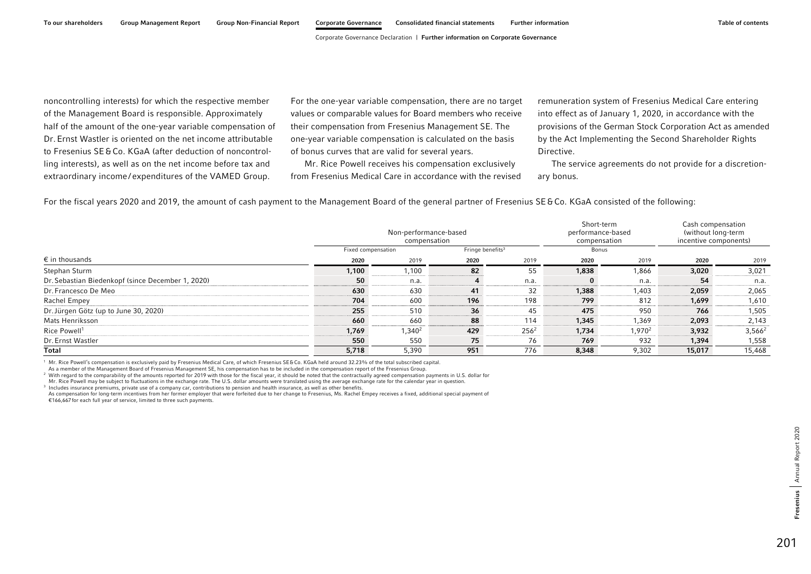noncontrolling interests) for which the respective member of the Management Board is responsible. Approximately half of the amount of the one-year variable compensation of Dr.Ernst Wastler is oriented on the net income attributable to Fresenius SE&Co. KGaA (after deduction of noncontrolling interests), as well as on the net income before tax and extraordinary income / expenditures of the VAMED Group.

For the one-year variable compensation, there are no target values or comparable values for Board members who receive their compensation from Fresenius Management SE. The one-year variable compensation is calculated on the basis of bonus curves that are valid for several years.

Mr. Rice Powell receives his compensation exclusively from Fresenius Medical Care in accordance with the revised remuneration system of Fresenius Medical Care entering into effect as of January 1, 2020, in accordance with the provisions of the German Stock Corporation Act as amended by the Act Implementing the Second Shareholder Rights Directive.

The service agreements do not provide for a discretionary bonus.

For the fiscal years 2020 and 2019, the amount of cash payment to the Management Board of the general partner of Fresenius SE&Co. KGaA consisted of the following:

|                                                   | Fixed compensation | Non-performance-based<br>compensation | Fringe benefits $3$ | Short-term<br>performance-based<br>compensation<br>Bonus |              | Cash compensation<br>(without long-term<br>incentive components) |        |           |
|---------------------------------------------------|--------------------|---------------------------------------|---------------------|----------------------------------------------------------|--------------|------------------------------------------------------------------|--------|-----------|
| $\epsilon$ in thousands                           | 2020               | 2019                                  | 2020                | 2019                                                     | 2020         | 2019                                                             | 2020   | 2019      |
| Stephan Sturm                                     | 1,100              | 1,100                                 | 82                  | 55                                                       | 1,838        | 1,866                                                            | 3,020  | 3,021     |
| Dr. Sebastian Biedenkopf (since December 1, 2020) | 50                 | n.a.                                  |                     | n.a.                                                     | $\mathbf{0}$ | n.a.                                                             | 54     | n.a.      |
| Dr. Francesco De Meo                              | 630                | 630                                   | 41                  | 32                                                       | 1,388        | 1,403                                                            | 2,059  | 2,065     |
| Rachel Empey                                      | 704                | 600                                   | 196                 | 198                                                      | 799          | 812                                                              | 1,699  | 1,610     |
| Dr. Jürgen Götz (up to June 30, 2020)             | 255                | 510                                   | 36                  | 45                                                       | 475          | 950                                                              | 766    | 1,505     |
| Mats Henriksson                                   | 660                | 660                                   | 88                  | 114                                                      | 1,345        | 1.369                                                            | 2,093  | 2,143     |
| Rice Powell <sup>1</sup>                          | 1,769              | 1,340 <sup>2</sup>                    | 429                 | $256^2$                                                  | 1,734        | 1,970 <sup>2</sup>                                               | 3,932  | $3,566^2$ |
| Dr. Ernst Wastler                                 | 550                | 550                                   | 75                  | 76                                                       | 769          | 932                                                              | 1,394  | 1,558     |
| Total                                             | 5,718              | 5,390                                 | 951                 | 776                                                      | 8,348        | 9,302                                                            | 15,017 | 15,468    |

<sup>1</sup> Mr. Rice Powell's compensation is exclusively paid by Fresenius Medical Care, of which Fresenius SE&Co. KGaA held around 32.23% of the total subscribed capital.

As a member of the Management Board of Fresenius Management SE, his compensation has to be included in the compensation report of the Fresenius Group.

<sup>2</sup> With regard to the comparability of the amounts reported for 2019 with those for the fiscal year, it should be noted that the contractually agreed compensation payments in U.S. dollar for

Mr. Rice Powell may be subject to fluctuations in the exchange rate. The U.S. dollar amounts were translated using the average exchange rate for the calendar year in question.

<sup>3</sup> Includes insurance premiums, private use of a company car, contributions to pension and health insurance, as well as other benefits.

As compensation for long-term incentives from her former employer that were forfeited due to her change to Fresenius, Ms. Rachel Empey receives a fixed, additional special payment of €166,667 for each full year of service, limited to three such payments.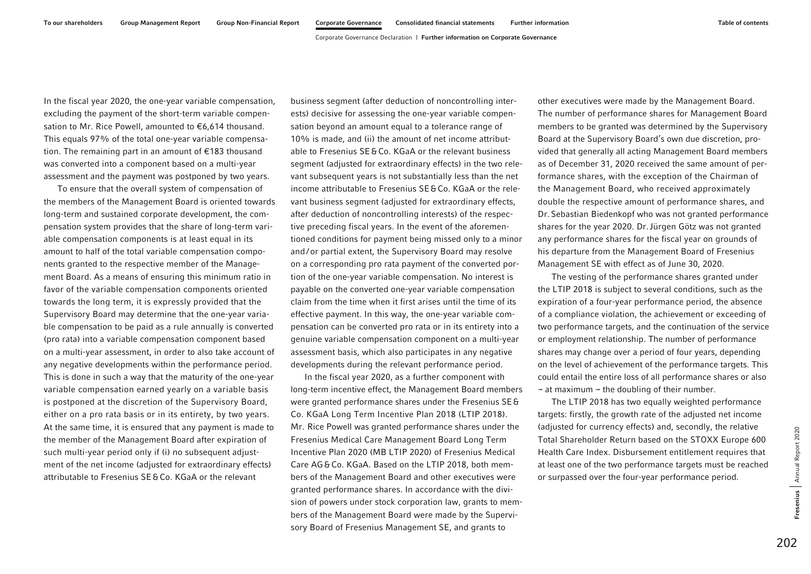In the fiscal year 2020, the one-year variable compensation, excluding the payment of the short-term variable compensation to Mr. Rice Powell, amounted to €6,614 thousand. This equals 97% of the total one-year variable compensation. The remaining part in an amount of €183 thousand was converted into a component based on a multi-year assessment and the payment was postponed by two years.

To ensure that the overall system of compensation of the members of the Management Board is oriented towards long-term and sustained corporate development, the compensation system provides that the share of long-term variable compensation components is at least equal in its amount to half of the total variable compensation components granted to the respective member of the Management Board. As a means of ensuring this minimum ratio in favor of the variable compensation components oriented towards the long term, it is expressly provided that the Supervisory Board may determine that the one-year variable compensation to be paid as a rule annually is converted (pro rata) into a variable compensation component based on a multi-year assessment, in order to also take account of any negative developments within the performance period. This is done in such a way that the maturity of the one-year variable compensation earned yearly on a variable basis is postponed at the discretion of the Supervisory Board, either on a pro rata basis or in its entirety, by two years. At the same time, it is ensured that any payment is made to the member of the Management Board after expiration of such multi-year period only if (i) no subsequent adjustment of the net income (adjusted for extraordinary effects) attributable to Fresenius SE&Co. KGaA or the relevant

business segment (after deduction of noncontrolling interests) decisive for assessing the one-year variable compensation beyond an amount equal to a tolerance range of 10% is made, and (ii) the amount of net income attributable to Fresenius SE&Co. KGaA or the relevant business segment (adjusted for extraordinary effects) in the two relevant subsequent years is not substantially less than the net income attributable to Fresenius SE&Co. KGaA or the relevant business segment (adjusted for extraordinary effects, after deduction of noncontrolling interests) of the respective preceding fiscal years. In the event of the aforementioned conditions for payment being missed only to a minor and/ or partial extent, the Supervisory Board may resolve on a corresponding pro rata payment of the converted portion of the one-year variable compensation. No interest is payable on the converted one-year variable compensation claim from the time when it first arises until the time of its effective payment. In this way, the one-year variable compensation can be converted pro rata or in its entirety into a genuine variable compensation component on a multi-year assessment basis, which also participates in any negative developments during the relevant performance period.

In the fiscal year 2020, as a further component with long-term incentive effect, the Management Board members were granted performance shares under the Fresenius SE& Co. KGaA Long Term Incentive Plan 2018 (LTIP 2018). Mr. Rice Powell was granted performance shares under the Fresenius Medical Care Management Board Long Term Incentive Plan 2020 (MB LTIP 2020) of Fresenius Medical Care AG&Co. KGaA. Based on the LTIP 2018, both members of the Management Board and other executives were granted performance shares. In accordance with the division of powers under stock corporation law, grants to members of the Management Board were made by the Supervisory Board of Fresenius Management SE, and grants to

other executives were made by the Management Board. The number of performance shares for Management Board members to be granted was determined by the Supervisory Board at the Supervisory Board's own due discretion, provided that generally all acting Management Board members as of December 31, 2020 received the same amount of performance shares, with the exception of the Chairman of the Management Board, who received approximately double the respective amount of performance shares, and Dr.Sebastian Biedenkopf who was not granted performance shares for the year 2020. Dr.Jürgen Götz was not granted any performance shares for the fiscal year on grounds of his departure from the Management Board of Fresenius Management SE with effect as of June 30, 2020.

The vesting of the performance shares granted under the LTIP 2018 is subject to several conditions, such as the expiration of a four-year performance period, the absence of a compliance violation, the achievement or exceeding of two performance targets, and the continuation of the service or employment relationship. The number of performance shares may change over a period of four years, depending on the level of achievement of the performance targets. This could entail the entire loss of all performance shares or also  $-$  at maximum  $-$  the doubling of their number.

The LTIP 2018 has two equally weighted performance targets: firstly, the growth rate of the adjusted net income (adjusted for currency effects) and, secondly, the relative Total Shareholder Return based on the STOXX Europe 600 Health Care Index. Disbursement entitlement requires that at least one of the two performance targets must be reached or surpassed over the four-year performance period.

Annual Report 2020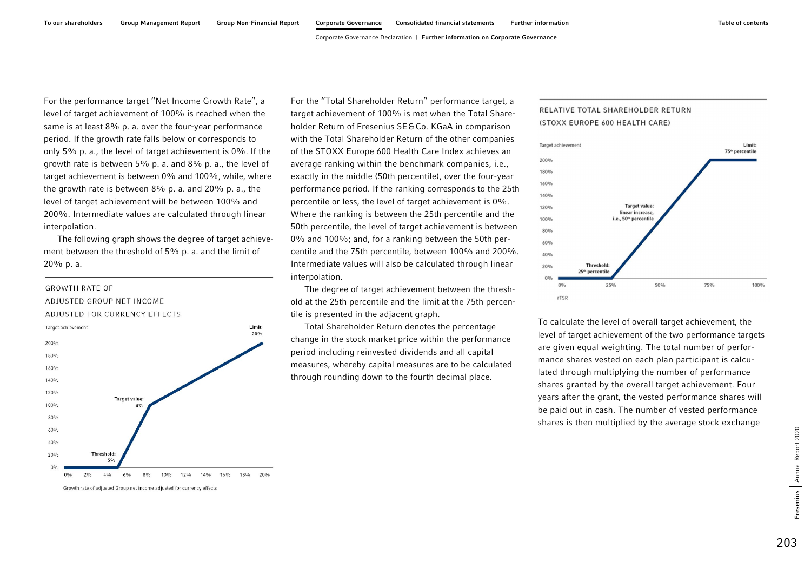For the performance target ''Net Income Growth Rate'', a level of target achievement of 100% is reached when the same is at least 8% p. a. over the four-year performance period. If the growth rate falls below or corresponds to only 5% p. a., the level of target achievement is 0%. If the growth rate is between 5% p. a. and 8% p. a., the level of target achievement is between 0% and 100%, while, where the growth rate is between 8% p. a. and 20% p. a., the level of target achievement will be between 100% and 200%. Intermediate values are calculated through linear interpolation.

The following graph shows the degree of target achievement between the threshold of 5% p. a. and the limit of 20% p. a.

# **GROWTH RATE OF** ADJUSTED GROUP NET INCOME ADJUSTED FOR CURRENCY EFFECTS



Growth rate of adjusted Group net income adjusted for currency effects

For the ''Total Shareholder Return'' performance target, a target achievement of 100% is met when the Total Shareholder Return of Fresenius SE&Co. KGaA in comparison with the Total Shareholder Return of the other companies of the STOXX Europe 600 Health Care Index achieves an average ranking within the benchmark companies, i.e., exactly in the middle (50th percentile), over the four-year performance period. If the ranking corresponds to the 25th percentile or less, the level of target achievement is 0%. Where the ranking is between the 25th percentile and the 50th percentile, the level of target achievement is between 0% and 100%; and, for a ranking between the 50th percentile and the 75th percentile, between 100% and 200%. Intermediate values will also be calculated through linear interpolation.

The degree of target achievement between the threshold at the 25th percentile and the limit at the 75th percentile is presented in the adjacent graph.

Total Shareholder Return denotes the percentage change in the stock market price within the performance period including reinvested dividends and all capital measures, whereby capital measures are to be calculated through rounding down to the fourth decimal place.

## RELATIVE TOTAL SHAREHOLDER RETURN (STOXX EUROPE 600 HEALTH CARE)



To calculate the level of overall target achievement, the level of target achievement of the two performance targets are given equal weighting. The total number of performance shares vested on each plan participant is calculated through multiplying the number of performance shares granted by the overall target achievement. Four years after the grant, the vested performance shares will be paid out in cash. The number of vested performance shares is then multiplied by the average stock exchange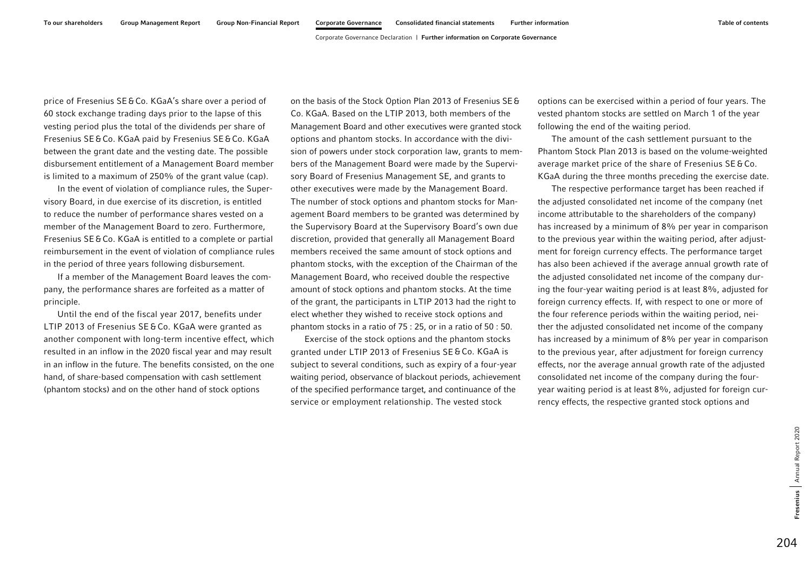price of Fresenius SE&Co. KGaA's share over a period of 60 stock exchange trading days prior to the lapse of this vesting period plus the total of the dividends per share of Fresenius SE&Co. KGaA paid by Fresenius SE&Co. KGaA between the grant date and the vesting date. The possible disbursement entitlement of a Management Board member is limited to a maximum of 250% of the grant value (cap).

In the event of violation of compliance rules, the Supervisory Board, in due exercise of its discretion, is entitled to reduce the number of performance shares vested on a member of the Management Board to zero. Furthermore, Fresenius SE&Co. KGaA is entitled to a complete or partial reimbursement in the event of violation of compliance rules in the period of three years following disbursement.

If a member of the Management Board leaves the company, the performance shares are forfeited as a matter of principle.

Until the end of the fiscal year 2017, benefits under LTIP 2013 of Fresenius SE &Co. KGaA were granted as another component with long-term incentive effect, which resulted in an inflow in the 2020 fiscal year and may result in an inflow in the future. The benefits consisted, on the one hand, of share-based compensation with cash settlement (phantom stocks) and on the other hand of stock options

on the basis of the Stock Option Plan 2013 of Fresenius SE& Co. KGaA. Based on the LTIP 2013, both members of the Management Board and other executives were granted stock options and phantom stocks. In accordance with the division of powers under stock corporation law, grants to members of the Management Board were made by the Supervisory Board of Fresenius Management SE, and grants to other executives were made by the Management Board. The number of stock options and phantom stocks for Management Board members to be granted was determined by the Supervisory Board at the Supervisory Board's own due discretion, provided that generally all Management Board members received the same amount of stock options and phantom stocks, with the exception of the Chairman of the Management Board, who received double the respective amount of stock options and phantom stocks. At the time of the grant, the participants in LTIP 2013 had the right to elect whether they wished to receive stock options and phantom stocks in a ratio of 75 : 25, or in a ratio of 50 : 50.

Exercise of the stock options and the phantom stocks granted under LTIP 2013 of Fresenius SE&Co. KGaA is subject to several conditions, such as expiry of a four-year waiting period, observance of blackout periods, achievement of the specified performance target, and continuance of the service or employment relationship. The vested stock

options can be exercised within a period of four years. The vested phantom stocks are settled on March 1 of the year following the end of the waiting period.

The amount of the cash settlement pursuant to the Phantom Stock Plan 2013 is based on the volume-weighted average market price of the share of Fresenius SE&Co. KGaA during the three months preceding the exercise date.

The respective performance target has been reached if the adjusted consolidated net income of the company (net income attributable to the shareholders of the company) has increased by a minimum of 8% per year in comparison to the previous year within the waiting period, after adjustment for foreign currency effects. The performance target has also been achieved if the average annual growth rate of the adjusted consolidated net income of the company during the four-year waiting period is at least 8%, adjusted for foreign currency effects. If, with respect to one or more of the four reference periods within the waiting period, neither the adjusted consolidated net income of the company has increased by a minimum of 8% per year in comparison to the previous year, after adjustment for foreign currency effects, nor the average annual growth rate of the adjusted consolidated net income of the company during the fouryear waiting period is at least 8%, adjusted for foreign currency effects, the respective granted stock options and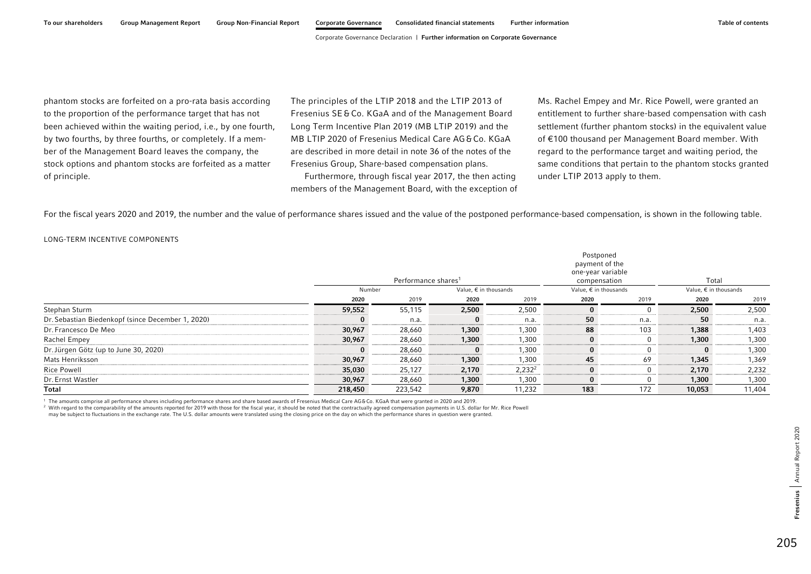phantom stocks are forfeited on a pro-rata basis according to the proportion of the performance target that has not been achieved within the waiting period, i.e., by one fourth, by two fourths, by three fourths, or completely. If a member of the Management Board leaves the company, the stock options and phantom stocks are forfeited as a matter of principle.

The principles of the LTIP 2018 and the LTIP 2013 of Fresenius SE &Co. KGaA and of the Management Board Long Term Incentive Plan 2019 (MB LTIP 2019) and the MB LTIP 2020 of Fresenius Medical Care AG&Co. KGaA are described in more detail in note 36 of the notes of the Fresenius Group, Share-based compensation plans.

Furthermore, through fiscal year 2017, the then acting members of the Management Board, with the exception of Ms. Rachel Empey and Mr. Rice Powell, were granted an entitlement to further share-based compensation with cash settlement (further phantom stocks) in the equivalent value of €100 thousand per Management Board member. With regard to the performance target and waiting period, the same conditions that pertain to the phantom stocks granted under LTIP 2013 apply to them.

For the fiscal years 2020 and 2019, the number and the value of performance shares issued and the value of the postponed performance-based compensation, is shown in the following table.

### LONG-TERM INCENTIVE COMPONENTS

|                                                   | Number   | Performance shares <sup>1</sup> | Value, $\epsilon$ in thousands |           | Postponed<br>payment of the<br>one-year variable<br>compensation<br>Value, $\epsilon$ in thousands |      | Total<br>Value, $\epsilon$ in thousands |        |
|---------------------------------------------------|----------|---------------------------------|--------------------------------|-----------|----------------------------------------------------------------------------------------------------|------|-----------------------------------------|--------|
|                                                   | 2020     | 2019                            | 2020                           | 2019      | 2020                                                                                               | 2019 | 2020                                    | 2019   |
| Stephan Sturm                                     | 59,552   | 55,115                          | 2,500                          | 2,500     | $\bf{0}$                                                                                           |      | 2,500                                   | 2,500  |
| Dr. Sebastian Biedenkopf (since December 1, 2020) |          | n.a.                            | $\bf{0}$                       | n.a.      | 50                                                                                                 | n.a. | 50                                      | n.a.   |
| Dr. Francesco De Meo                              | 30,967   | 28,660                          | 1,300                          | 1,300     | 88                                                                                                 | 103  | 1,388                                   | 1,403  |
| Rachel Empey                                      | 30,967   | 28,660                          | 1,300                          | 1,300     | $\bf{0}$                                                                                           |      | 1,300                                   | 1,300  |
| Dr. Jürgen Götz (up to June 30, 2020)             | $\Omega$ | 28,660                          | $\bf{0}$                       | 1,300     | 0                                                                                                  |      | 0                                       | 1,300  |
| Mats Henriksson                                   | 30,967   | 28,660                          | 1,300                          | 1,300     | 45                                                                                                 | 69   | 1,345                                   | 1,369  |
| <b>Rice Powell</b>                                | 35,030   | 25,127                          | 2,170                          | $2,232^2$ | $\bf{0}$                                                                                           | 0    | 2,170                                   | 2,232  |
| Dr. Ernst Wastler                                 | 30,967   | 28,660                          | 1,300                          | 1,300     | $\mathbf{0}$                                                                                       |      | 1,300                                   | 1,300  |
| Total                                             | 218,450  | 223,542                         | 9,870                          | 11,232    | 183                                                                                                | 172  | 10,053                                  | 11,404 |

<sup>1</sup> The amounts comprise all performance shares including performance shares and share based awards of Fresenius Medical Care AG&Co. KGaA that were granted in 2020 and 2019.

<sup>2</sup> With regard to the comparability of the amounts reported for 2019 with those for the fiscal year, it should be noted that the contractually agreed compensation payments in U.S. dollar for Mr. Rice Powell

may be subject to fluctuations in the exchange rate. The U.S. dollar amounts were translated using the closing price on the day on which the performance shares in question were granted.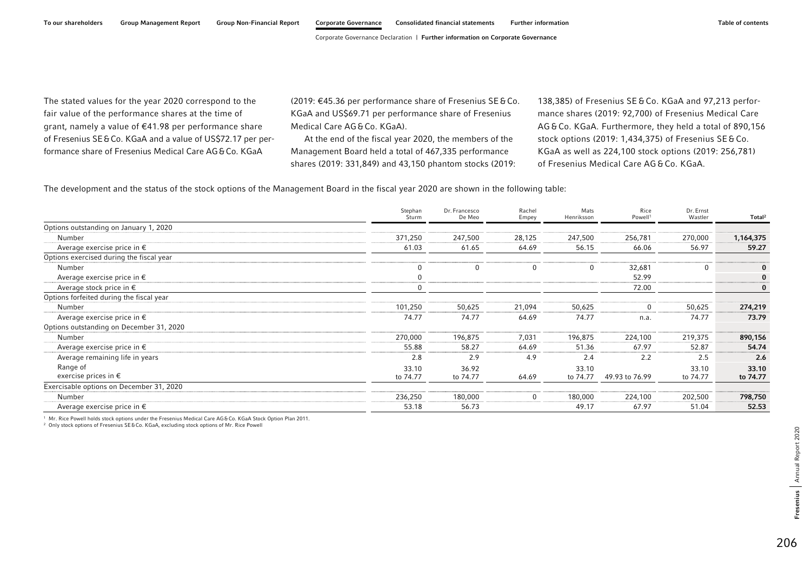The stated values for the year 2020 correspond to the fair value of the performance shares at the time of grant, namely a value of €41.98 per performance share of Fresenius SE&Co. KGaA and a value of US\$72.17 per performance share of Fresenius Medical Care AG&Co. KGaA

(2019: €45.36 per performance share of Fresenius SE&Co. KGaA and US\$69.71 per performance share of Fresenius Medical Care AG&Co. KGaA).

At the end of the fiscal year 2020, the members of the Management Board held a total of 467,335 performance shares (2019: 331,849) and 43,150 phantom stocks (2019:

138,385) of Fresenius SE &Co. KGaA and 97,213 performance shares (2019: 92,700) of Fresenius Medical Care AG &Co. KGaA. Furthermore, they held a total of 890,156 stock options (2019: 1,434,375) of Fresenius SE&Co. KGaA as well as 224,100 stock options (2019: 256,781) of Fresenius Medical Care AG & Co. KGaA.

The development and the status of the stock options of the Management Board in the fiscal year 2020 are shown in the following table:

|                                          | Stephan<br>Sturm | Dr. Francesco<br>De Meo | Rachel<br>Empey | Mats<br>Henriksson | Rice<br>Powell <sup>1</sup> | Dr. Ernst<br>Wastler | Total <sup>2</sup> |
|------------------------------------------|------------------|-------------------------|-----------------|--------------------|-----------------------------|----------------------|--------------------|
| Options outstanding on January 1, 2020   |                  |                         |                 |                    |                             |                      |                    |
| Number                                   | 371,250          | 247,500                 | 28,125          | 247,500            | 256,781                     | 270,000              | 1,164,375          |
| Average exercise price in $\epsilon$     | 61.03            | 61.65                   | 64.69           | 56.15              | 66.06                       | 56.97                | 59.27              |
| Options exercised during the fiscal year |                  |                         |                 |                    |                             |                      |                    |
| Number                                   |                  | 0                       |                 | 0                  | 32,681                      | 0                    |                    |
| Average exercise price in $\epsilon$     |                  |                         |                 |                    | 52.99                       |                      | 0                  |
| Average stock price in $\epsilon$        |                  |                         |                 |                    | 72.00                       |                      | 0                  |
| Options forfeited during the fiscal year |                  |                         |                 |                    |                             |                      |                    |
| Number                                   | 101,250          | 50,625                  | 21,094          | 50,625             | $\Omega$                    | 50,625               | 274,219            |
| Average exercise price in $\epsilon$     | 74.77            | 74.77                   | 64.69           | 74.77              | n.a.                        | 74.77                | 73.79              |
| Options outstanding on December 31, 2020 |                  |                         |                 |                    |                             |                      |                    |
| Number                                   | 270,000          | 196,875                 | 7,031           | 196,875            | 224,100                     | 219,375              | 890,156            |
| Average exercise price in $\epsilon$     | 55.88            | 58.27                   | 64.69           | 51.36              | 67.97                       | 52.87                | 54.74              |
| Average remaining life in years          | 2.8              | 2.9                     | 4.9             | 2.4                | 2.2                         | 2.5                  | 2.6                |
| Range of                                 | 33.10            | 36.92                   |                 | 33.10              |                             | 33.10                | 33.10              |
| exercise prices in $\epsilon$            | to 74.77         | to 74.77                | 64.69           | to 74.77           | 49.93 to 76.99              | to 74.77             | to 74.77           |
| Exercisable options on December 31, 2020 |                  |                         |                 |                    |                             |                      |                    |
| Number                                   | 236,250          | 180,000                 |                 | 180,000            | 224,100                     | 202,500              | 798,750            |
| Average exercise price in $\epsilon$     | 53.18            | 56.73                   |                 | 49.17              | 67.97                       | 51.04                | 52.53              |

<sup>1</sup> Mr. Rice Powell holds stock options under the Fresenius Medical Care AG&Co. KGaA Stock Option Plan 2011.

<sup>2</sup> Only stock options of Fresenius SE&Co. KGaA, excluding stock options of Mr. Rice Powell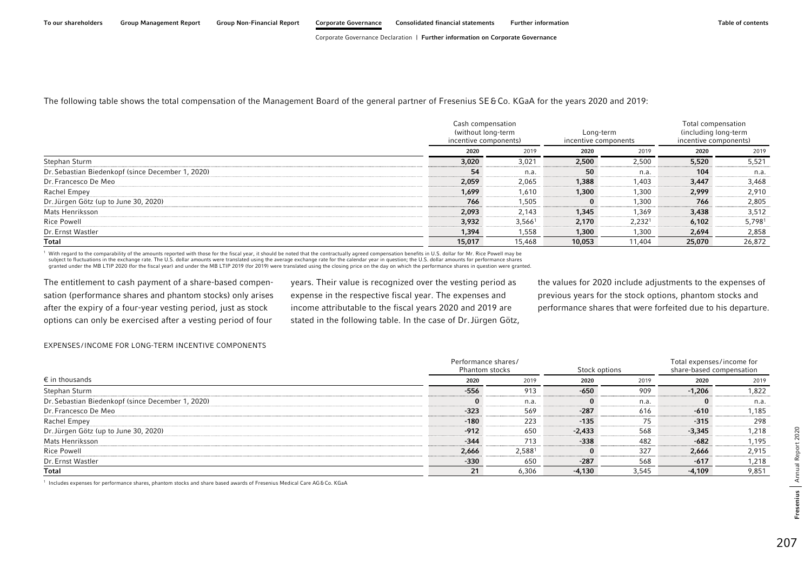### The following table shows the total compensation of the Management Board of the general partner of Fresenius SE&Co. KGaA for the years 2020 and 2019:

|                                                   |        | Cash compensation<br>(without long-term<br>incentive components) | Long-term<br>incentive components |                    | Total compensation<br>(including long-term<br>incentive components) |        |
|---------------------------------------------------|--------|------------------------------------------------------------------|-----------------------------------|--------------------|---------------------------------------------------------------------|--------|
|                                                   | 2020   | 2019                                                             | 2020                              | 2019               | 2020                                                                | 2019   |
| Stephan Sturm                                     | 3,020  | 3,021                                                            | 2,500                             | 2,500              | 5,520                                                               | 5,521  |
| Dr. Sebastian Biedenkopf (since December 1, 2020) | 54     | n.a.                                                             | 50                                | n.a.               | 104                                                                 | n.a.   |
| Dr. Francesco De Meo                              | 2,059  | 2,065                                                            | 1,388                             | 1,403              | 3,447                                                               | 3,468  |
| Rachel Empey                                      | 1,699  | 1,610                                                            | 1,300                             | 1,300              | 2,999                                                               | 2,910  |
| Dr. Jürgen Götz (up to June 30, 2020)             | 766    | 1,505                                                            | $\bf{0}$                          | 1,300              | 766                                                                 | 2,805  |
| Mats Henriksson                                   | 2,093  | 2,143                                                            | 1,345                             | 1,369              | 3,438                                                               | 3,512  |
| <b>Rice Powell</b>                                | 3,932  | $3,566^1$                                                        | 2,170                             | 2,232 <sup>1</sup> | 6,102                                                               | 5,7981 |
| Dr. Ernst Wastler                                 | 1,394  | 1,558                                                            | 1,300                             | 1,300              | 2,694                                                               | 2,858  |
| Total                                             | 15,017 | 15,468                                                           | 10,053                            | 11,404             | 25,070                                                              | 26,872 |

With regard to the comparability of the amounts reported with those for the fiscal year, it should be noted that the contractually agreed compensation benefits in U.S. dollar for Mr. Rice Powell may be subject to fluctuati granted under the MB LTIP 2020 (for the fiscal year) and under the MB LTIP 2019 (for 2019) were translated using the closing price on the day on which the performance shares in question were granted.

The entitlement to cash payment of a share-based compensation (performance shares and phantom stocks) only arises after the expiry of a four-year vesting period, just as stock options can only be exercised after a vesting period of four

years. Their value is recognized over the vesting period as expense in the respective fiscal year. The expenses and income attributable to the fiscal years 2020 and 2019 are stated in the following table. In the case of Dr.Jürgen Götz, the values for 2020 include adjustments to the expenses of previous years for the stock options, phantom stocks and performance shares that were forfeited due to his departure.

#### EXPENSES/INCOME FOR LONG-TERM INCENTIVE COMPONENTS

|                                                   | Performance shares/<br>Phantom stocks | Stock options      | Total expenses/income for<br>share-based compensation |       |          |       |  |
|---------------------------------------------------|---------------------------------------|--------------------|-------------------------------------------------------|-------|----------|-------|--|
| $\epsilon$ in thousands                           | 2020                                  | 2019               | 2020                                                  | 2019  | 2020     | 2019  |  |
| Stephan Sturm                                     | $-556$                                | 913                | $-650$                                                | 909   | $-1,206$ | 1,822 |  |
| Dr. Sebastian Biedenkopf (since December 1, 2020) |                                       | n.a.               | 0                                                     | n.a.  | $\bf{0}$ | n.a.  |  |
| Dr. Francesco De Meo                              | $-323$                                | 569                | $-287$                                                | 616   | $-610$   | 1,185 |  |
| Rachel Empey                                      | $-180$                                | 223                | $-135$                                                | 75    | $-315$   | 298   |  |
| Dr. Jürgen Götz (up to June 30, 2020)             | $-912$                                | 650                | $-2.433$                                              | 568   | $-3,345$ | 1,218 |  |
| Mats Henriksson                                   | $-344$                                | 713                | $-338$                                                | 482   | $-682$   | 1,195 |  |
| <b>Rice Powell</b>                                | 2,666                                 | 2,588 <sup>1</sup> | $\bf{0}$                                              | 327   | 2,666    | 2,915 |  |
| Dr. Ernst Wastler                                 | $-330$                                | 650                | $-287$                                                | 568   | $-617$   | 1,218 |  |
| Total                                             | 21                                    | 6,306              | $-4,130$                                              | 3,545 | $-4,109$ | 9,851 |  |

<sup>1</sup> Includes expenses for performance shares, phantom stocks and share based awards of Fresenius Medical Care AG&Co. KGaA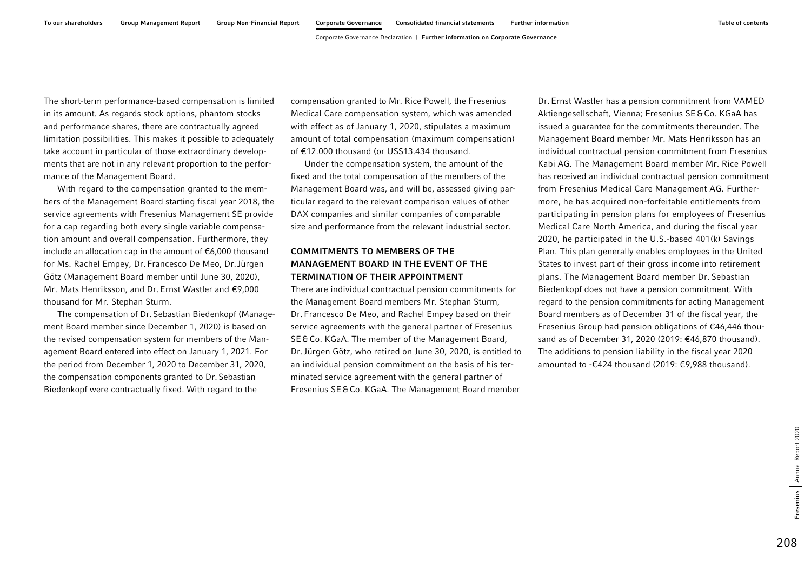The short-term performance-based compensation is limited in its amount. As regards stock options, phantom stocks and performance shares, there are contractually agreed limitation possibilities. This makes it possible to adequately take account in particular of those extraordinary developments that are not in any relevant proportion to the performance of the Management Board.

With regard to the compensation granted to the members of the Management Board starting fiscal year 2018, the service agreements with Fresenius Management SE provide for a cap regarding both every single variable compensation amount and overall compensation. Furthermore, they include an allocation cap in the amount of €6,000 thousand for Ms. Rachel Empey, Dr.Francesco De Meo, Dr.Jürgen Götz (Management Board member until June 30, 2020), Mr. Mats Henriksson, and Dr.Ernst Wastler and €9,000 thousand for Mr. Stephan Sturm.

The compensation of Dr.Sebastian Biedenkopf (Management Board member since December 1, 2020) is based on the revised compensation system for members of the Management Board entered into effect on January 1, 2021. For the period from December 1, 2020 to December 31, 2020, the compensation components granted to Dr.Sebastian Biedenkopf were contractually fixed. With regard to the

compensation granted to Mr. Rice Powell, the Fresenius Medical Care compensation system, which was amended with effect as of January 1, 2020, stipulates a maximum amount of total compensation (maximum compensation) of €12.000 thousand (or US\$13.434 thousand.

Under the compensation system, the amount of the fixed and the total compensation of the members of the Management Board was, and will be, assessed giving particular regard to the relevant comparison values of other DAX companies and similar companies of comparable size and performance from the relevant industrial sector.

## COMMITMENTS TO MEMBERS OF THE MANAGEMENT BOARD IN THE EVENT OF THE TERMINATION OF THEIR APPOINTMENT

There are individual contractual pension commitments for the Management Board members Mr. Stephan Sturm, Dr.Francesco De Meo, and Rachel Empey based on their service agreements with the general partner of Fresenius SE&Co. KGaA. The member of the Management Board, Dr.Jürgen Götz, who retired on June 30, 2020, is entitled to an individual pension commitment on the basis of his terminated service agreement with the general partner of Fresenius SE&Co. KGaA. The Management Board member Dr.Ernst Wastler has a pension commitment from VAMED Aktiengesellschaft, Vienna; Fresenius SE&Co. KGaA has issued a guarantee for the commitments thereunder. The Management Board member Mr. Mats Henriksson has an individual contractual pension commitment from Fresenius Kabi AG. The Management Board member Mr. Rice Powell has received an individual contractual pension commitment from Fresenius Medical Care Management AG. Furthermore, he has acquired non-forfeitable entitlements from participating in pension plans for employees of Fresenius Medical Care North America, and during the fiscal year 2020, he participated in the U.S.-based 401(k) Savings Plan. This plan generally enables employees in the United States to invest part of their gross income into retirement plans. The Management Board member Dr. Sebastian Biedenkopf does not have a pension commitment. With regard to the pension commitments for acting Management Board members as of December 31 of the fiscal year, the Fresenius Group had pension obligations of €46,446 thousand as of December 31, 2020 (2019: €46,870 thousand). The additions to pension liability in the fiscal year 2020 amounted to -€424 thousand (2019: €9,988 thousand).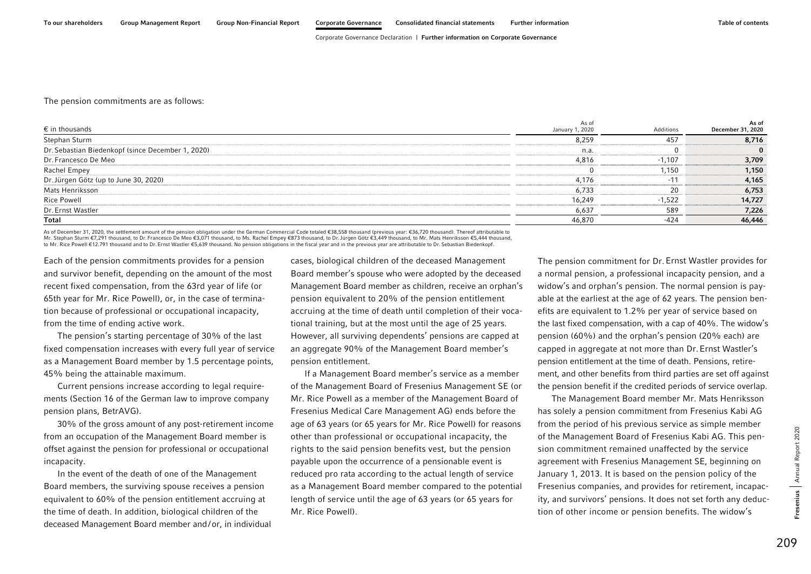#### The pension commitments are as follows:

| $\epsilon$ in thousands                           | As of<br>January 1, 2020 | Additions | As of<br>December 31, 2020 |
|---------------------------------------------------|--------------------------|-----------|----------------------------|
| Stephan Sturm                                     | 8,259                    | 457       | 8,716                      |
| Dr. Sebastian Biedenkopf (since December 1, 2020) | n.a.                     |           | $\mathbf{0}$               |
| Dr. Francesco De Meo                              | 4,816                    | $-1,107$  | 3,709                      |
| Rachel Empey                                      |                          | 1,150     | 1,150                      |
| Dr. Jürgen Götz (up to June 30, 2020)             | 4,176                    | $-11$     | 4,165                      |
| Mats Henriksson                                   | 6,733                    | 20        | 6,753                      |
| <b>Rice Powell</b>                                | 16,249                   | $-1,522$  | 14,727                     |
| Dr. Ernst Wastler                                 | 6,637                    | 589       | 7,226                      |
| <b>Total</b>                                      | 46,870                   | -424      | 46,446                     |

As of December 31, 2020, the settlement amount of the pension obligation under the German Commercial Code totaled €38,558 thousand (previous year: €36,720 thousand). Thereof attributable to<br>Mr. Stephan Sturm €7,291 thousa to Mr. Rice Powell €12.791 thousand and to Dr.Ernst Wastler €5,639 thousand. No pension obligations in the fiscal year and in the previous year are attributable to Dr.Sebastian Biedenkopf.

Each of the pension commitments provides for a pension and survivor benefit, depending on the amount of the most recent fixed compensation, from the 63rd year of life (or 65th year for Mr. Rice Powell), or, in the case of termination because of professional or occupational incapacity, from the time of ending active work.

The pension's starting percentage of 30% of the last fixed compensation increases with every full year of service as a Management Board member by 1.5 percentage points, 45% being the attainable maximum.

Current pensions increase according to legal requirements (Section 16 of the German law to improve company pension plans, BetrAVG).

30% of the gross amount of any post-retirement income from an occupation of the Management Board member is offset against the pension for professional or occupational incapacity.

In the event of the death of one of the Management Board members, the surviving spouse receives a pension equivalent to 60% of the pension entitlement accruing at the time of death. In addition, biological children of the deceased Management Board member and/or, in individual cases, biological children of the deceased Management Board member's spouse who were adopted by the deceased Management Board member as children, receive an orphan's pension equivalent to 20% of the pension entitlement accruing at the time of death until completion of their vocational training, but at the most until the age of 25 years. However, all surviving dependents' pensions are capped at an aggregate 90% of the Management Board member's pension entitlement.

If a Management Board member's service as a member of the Management Board of Fresenius Management SE (or Mr. Rice Powell as a member of the Management Board of Fresenius Medical Care Management AG) ends before the age of 63 years (or 65 years for Mr. Rice Powell) for reasons other than professional or occupational incapacity, the rights to the said pension benefits vest, but the pension payable upon the occurrence of a pensionable event is reduced pro rata according to the actual length of service as a Management Board member compared to the potential length of service until the age of 63 years (or 65 years for Mr. Rice Powell).

The pension commitment for Dr.Ernst Wastler provides for a normal pension, a professional incapacity pension, and a widow's and orphan's pension. The normal pension is payable at the earliest at the age of 62 years. The pension benefits are equivalent to 1.2% per year of service based on the last fixed compensation, with a cap of 40%. The widow's pension (60%) and the orphan's pension (20% each) are capped in aggregate at not more than Dr.Ernst Wastler's pension entitlement at the time of death. Pensions, retirement, and other benefits from third parties are set off against the pension benefit if the credited periods of service overlap.

The Management Board member Mr. Mats Henriksson has solely a pension commitment from Fresenius Kabi AG from the period of his previous service as simple member of the Management Board of Fresenius Kabi AG. This pension commitment remained unaffected by the service agreement with Fresenius Management SE, beginning on January 1, 2013. It is based on the pension policy of the Fresenius companies, and provides for retirement, incapacity, and survivors' pensions. It does not set forth any deduction of other income or pension benefits. The widow's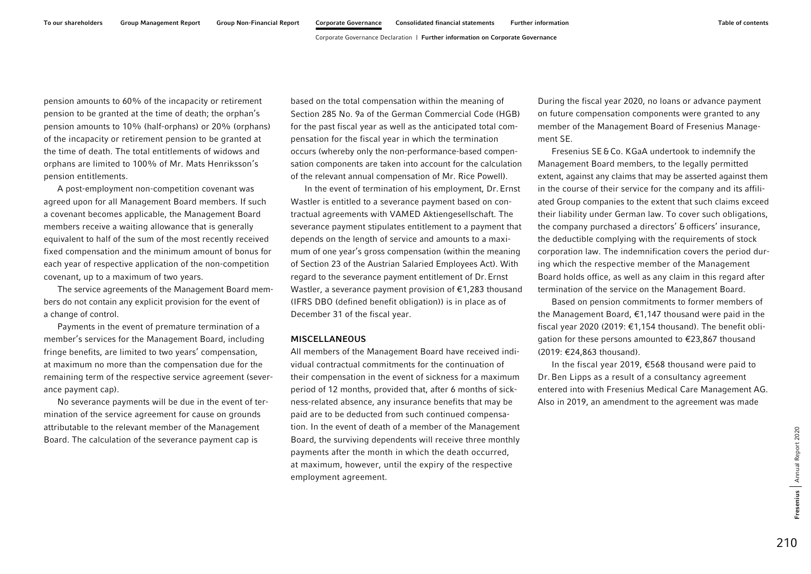pension amounts to 60% of the incapacity or retirement pension to be granted at the time of death; the orphan's pension amounts to 10% (half-orphans) or 20% (orphans) of the incapacity or retirement pension to be granted at the time of death. The total entitlements of widows and orphans are limited to 100% of Mr. Mats Henriksson's pension entitlements.

A post-employment non-competition covenant was agreed upon for all Management Board members. If such a covenant becomes applicable, the Management Board members receive a waiting allowance that is generally equivalent to half of the sum of the most recently received fixed compensation and the minimum amount of bonus for each year of respective application of the non-competition covenant, up to a maximum of two years.

The service agreements of the Management Board members do not contain any explicit provision for the event of a change of control.

Payments in the event of premature termination of a member's services for the Management Board, including fringe benefits, are limited to two years' compensation, at maximum no more than the compensation due for the remaining term of the respective service agreement (severance payment cap).

No severance payments will be due in the event of termination of the service agreement for cause on grounds attributable to the relevant member of the Management Board. The calculation of the severance payment cap is

based on the total compensation within the meaning of Section 285 No. 9a of the German Commercial Code (HGB) for the past fiscal year as well as the anticipated total compensation for the fiscal year in which the termination occurs (whereby only the non-performance-based compensation components are taken into account for the calculation of the relevant annual compensation of Mr. Rice Powell).

In the event of termination of his employment, Dr.Ernst Wastler is entitled to a severance payment based on contractual agreements with VAMED Aktiengesellschaft. The severance payment stipulates entitlement to a payment that depends on the length of service and amounts to a maximum of one year's gross compensation (within the meaning of Section 23 of the Austrian Salaried Employees Act). With regard to the severance payment entitlement of Dr.Ernst Wastler, a severance payment provision of €1,283 thousand (IFRS DBO (defined benefit obligation)) is in place as of December 31 of the fiscal year.

### MISCELLANEOUS

All members of the Management Board have received individual contractual commitments for the continuation of their compensation in the event of sickness for a maximum period of 12 months, provided that, after 6 months of sickness-related absence, any insurance benefits that may be paid are to be deducted from such continued compensation. In the event of death of a member of the Management Board, the surviving dependents will receive three monthly payments after the month in which the death occurred, at maximum, however, until the expiry of the respective employment agreement.

During the fiscal year 2020, no loans or advance payment on future compensation components were granted to any member of the Management Board of Fresenius Management SE.

Fresenius SE&Co. KGaA undertook to indemnify the Management Board members, to the legally permitted extent, against any claims that may be asserted against them in the course of their service for the company and its affiliated Group companies to the extent that such claims exceed their liability under German law. To cover such obligations, the company purchased a directors' &officers' insurance, the deductible complying with the requirements of stock corporation law. The indemnification covers the period during which the respective member of the Management Board holds office, as well as any claim in this regard after termination of the service on the Management Board.

Based on pension commitments to former members of the Management Board, €1,147 thousand were paid in the fiscal year 2020 (2019: €1,154 thousand). The benefit obligation for these persons amounted to €23,867 thousand (2019: €24,863 thousand).

In the fiscal year 2019, €568 thousand were paid to Dr.Ben Lipps as a result of a consultancy agreement entered into with Fresenius Medical Care Management AG. Also in 2019, an amendment to the agreement was made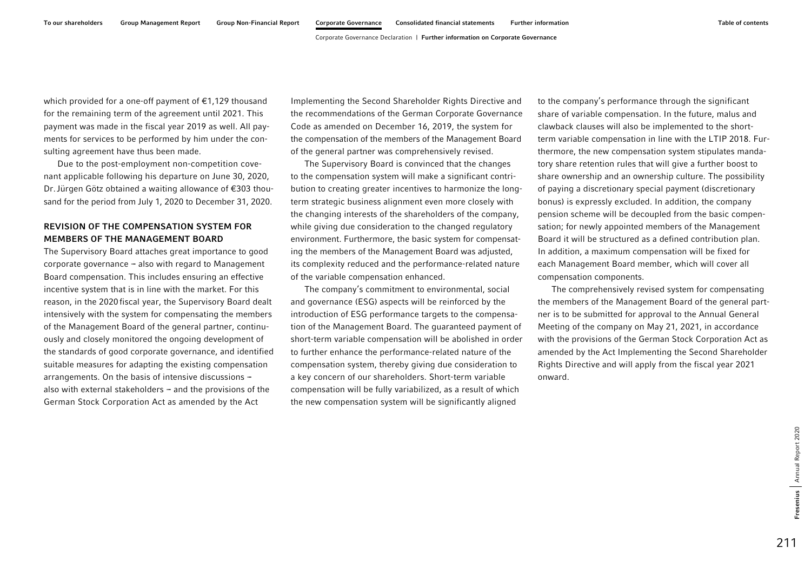which provided for a one-off payment of €1,129 thousand for the remaining term of the agreement until 2021. This payment was made in the fiscal year 2019 as well. All payments for services to be performed by him under the consulting agreement have thus been made.

Due to the post-employment non-competition covenant applicable following his departure on June 30, 2020, Dr.Jürgen Götz obtained a waiting allowance of €303 thousand for the period from July 1, 2020 to December 31, 2020.

## REVISION OF THE COMPENSATION SYSTEM FOR MEMBERS OF THE MANAGEMENT BOARD

The Supervisory Board attaches great importance to good corporate governance  $-$  also with regard to Management Board compensation. This includes ensuring an effective incentive system that is in line with the market. For this reason, in the 2020fiscal year, the Supervisory Board dealt intensively with the system for compensating the members of the Management Board of the general partner, continuously and closely monitored the ongoing development of the standards of good corporate governance, and identified suitable measures for adapting the existing compensation arrangements. On the basis of intensive discussions  $$ also with external stakeholders  $-$  and the provisions of the German Stock Corporation Act as amended by the Act

Implementing the Second Shareholder Rights Directive and the recommendations of the German Corporate Governance Code as amended on December 16, 2019, the system for the compensation of the members of the Management Board of the general partner was comprehensively revised.

The Supervisory Board is convinced that the changes to the compensation system will make a significant contribution to creating greater incentives to harmonize the longterm strategic business alignment even more closely with the changing interests of the shareholders of the company, while giving due consideration to the changed regulatory environment. Furthermore, the basic system for compensating the members of the Management Board was adjusted, its complexity reduced and the performance-related nature of the variable compensation enhanced.

The company's commitment to environmental, social and governance (ESG) aspects will be reinforced by the introduction of ESG performance targets to the compensation of the Management Board. The guaranteed payment of short-term variable compensation will be abolished in order to further enhance the performance-related nature of the compensation system, thereby giving due consideration to a key concern of our shareholders. Short-term variable compensation will be fully variabilized, as a result of which the new compensation system will be significantly aligned

to the company's performance through the significant share of variable compensation. In the future, malus and clawback clauses will also be implemented to the shortterm variable compensation in line with the LTIP 2018. Furthermore, the new compensation system stipulates mandatory share retention rules that will give a further boost to share ownership and an ownership culture. The possibility of paying a discretionary special payment (discretionary bonus) is expressly excluded. In addition, the company pension scheme will be decoupled from the basic compensation; for newly appointed members of the Management Board it will be structured as a defined contribution plan. In addition, a maximum compensation will be fixed for each Management Board member, which will cover all compensation components.

The comprehensively revised system for compensating the members of the Management Board of the general partner is to be submitted for approval to the Annual General Meeting of the company on May 21, 2021, in accordance with the provisions of the German Stock Corporation Act as amended by the Act Implementing the Second Shareholder Rights Directive and will apply from the fiscal year 2021 onward.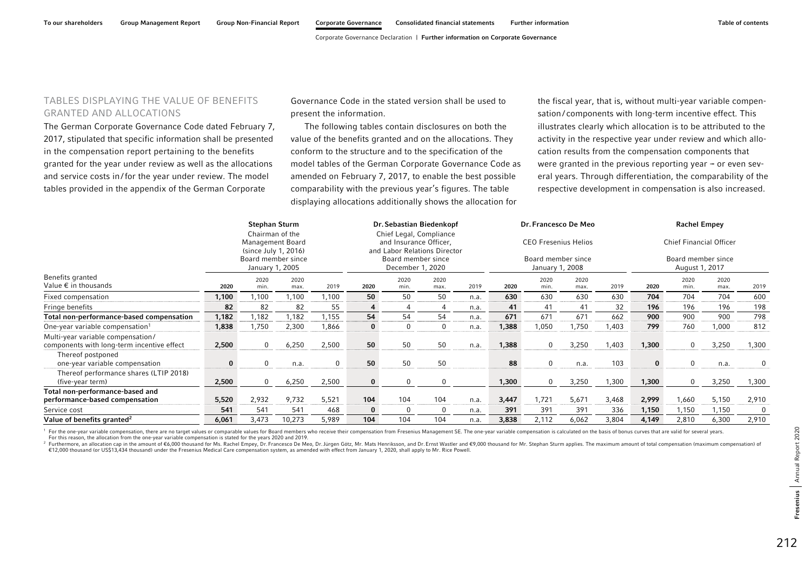# TABLES DISPLAYING THE VALUE OF BENEFITS GRANTED AND ALLOCATIONS

The German Corporate Governance Code dated February 7, 2017, stipulated that specific information shall be presented in the compensation report pertaining to the benefits granted for the year under review as well as the allocations and service costs in/for the year under review. The model tables provided in the appendix of the German Corporate

Governance Code in the stated version shall be used to present the information.

The following tables contain disclosures on both the value of the benefits granted and on the allocations. They conform to the structure and to the specification of the model tables of the German Corporate Governance Code as amended on February 7, 2017, to enable the best possible comparability with the previous year's figures. The table displaying allocations additionally shows the allocation for

the fiscal year, that is, without multi-year variable compensation/ components with long-term incentive effect. This illustrates clearly which allocation is to be attributed to the activity in the respective year under review and which allocation results from the compensation components that were granted in the previous reporting year  $-$  or even several years. Through differentiation, the comparability of the respective development in compensation is also increased.

|                                                                                 |          | <b>Stephan Sturm</b><br>Chairman of the<br>Management Board<br>(since July 1, 2016)<br>Board member since<br>January 1, 2005 |              |       |      | Dr. Sebastian Biedenkopf<br>Chief Legal, Compliance<br>and Insurance Officer,<br>and Labor Relations Director<br>Board member since<br>December 1, 2020 |              |      | Dr. Francesco De Meo<br><b>CEO Fresenius Helios</b><br>Board member since<br>January 1, 2008 |              |              |       | <b>Rachel Empey</b><br><b>Chief Financial Officer</b><br>Board member since<br>August 1, 2017 |                |              |       |
|---------------------------------------------------------------------------------|----------|------------------------------------------------------------------------------------------------------------------------------|--------------|-------|------|---------------------------------------------------------------------------------------------------------------------------------------------------------|--------------|------|----------------------------------------------------------------------------------------------|--------------|--------------|-------|-----------------------------------------------------------------------------------------------|----------------|--------------|-------|
| Benefits granted<br>Value $\epsilon$ in thousands                               | 2020     | 2020<br>min.                                                                                                                 | 2020<br>max. | 2019  | 2020 | 2020<br>min.                                                                                                                                            | 2020<br>max. | 2019 | 2020                                                                                         | 2020<br>min. | 2020<br>max. | 2019  | 2020                                                                                          | 2020<br>min.   | 2020<br>max. | 2019  |
| Fixed compensation                                                              | 1,100    | 1,100                                                                                                                        | 1,100        | 1,100 | 50   | 50                                                                                                                                                      | 50           | n.a. | 630                                                                                          | 630          | 630          | 630   | 704                                                                                           | 704            | 704          | 600   |
| Fringe benefits                                                                 | 82       | 82                                                                                                                           | 82           | 55    | 4    |                                                                                                                                                         |              | n.a. | 41                                                                                           | 41           | 41           | 32    | 196                                                                                           | 196            | 196          | 198   |
| Total non-performance-based compensation                                        | 1,182    | 1,182                                                                                                                        | 1,182        | 1,155 | 54   | 54                                                                                                                                                      | 54           | n.a. | 671                                                                                          | 671          | 671          | 662   | 900                                                                                           | 900            | 900          | 798   |
| One-year variable compensation <sup>1</sup>                                     | 1,838    | 1,750                                                                                                                        | 2,300        | 1,866 | 0    | 0                                                                                                                                                       | 0            | n.a. | 1,388                                                                                        | 1,050        | 1,750        | 1,403 | 799                                                                                           | 760            | 1,000        | 812   |
| Multi-year variable compensation/<br>components with long-term incentive effect | 2,500    |                                                                                                                              | 6,250        | 2,500 | 50   | 50                                                                                                                                                      | 50           | n.a. | 1,388                                                                                        | $\Omega$     | 3,250        | 1,403 | 1,300                                                                                         | $\Omega$       | 3,250        | 1,300 |
| Thereof postponed<br>one-year variable compensation                             | $\bf{0}$ |                                                                                                                              | n.a.         | 0     | 50   | 50                                                                                                                                                      | 50           |      | 88                                                                                           | $\mathbf 0$  | n.a.         | 103   | $\mathbf{0}$                                                                                  | 0              | n.a.         | 0     |
| Thereof performance shares (LTIP 2018)<br>(five-year term)                      | 2,500    |                                                                                                                              | 6,250        | 2,500 | 0    | $\Omega$                                                                                                                                                |              |      | 1,300                                                                                        | $\mathbf 0$  | 3,250        | 1,300 | 1,300                                                                                         | $\overline{0}$ | 3,250        | 1,300 |
| Total non-performance-based and<br>performance-based compensation               | 5,520    | 2,932                                                                                                                        | 9,732        | 5,521 | 104  | 104                                                                                                                                                     | 104          | n.a. | 3,447                                                                                        | 1,721        | 5,671        | 3,468 | 2,999                                                                                         | 1,660          | 5,150        | 2,910 |
| Service cost                                                                    | 541      | 541                                                                                                                          | 541          | 468   | 0    | $\Omega$                                                                                                                                                | $\Omega$     | n.a. | 391                                                                                          | 391          | 391          | 336   | 1,150                                                                                         | 1,150          | 1,150        | 0     |
| Value of benefits granted <sup>2</sup>                                          | 6,061    | 3,473                                                                                                                        | 10,273       | 5,989 | 104  | 104                                                                                                                                                     | 104          | n.a. | 3,838                                                                                        | 2,112        | 6,062        | 3,804 | 4,149                                                                                         | 2,810          | 6,300        | 2,910 |

<sup>1</sup> For the one-year variable compensation, there are no target values or comparable values for Board members who receive their compensation from Fresenius Management SE. The one-year variable compensation is calculated on For this reason, the allocation from the one-year variable compensation is stated for the years 2020 and 2019.

<sup>2</sup> Furthermore, an allocation cap in the amount of €6,000 thousand for Ms. Rachel Empey, Dr. Francesco De Meo, Dr. Jürgen Götz, Mr. Mats Henriksson, and Dr. Ernst Wastler and €9,000 thousand for Mr. Stephan Sturm applies €12,000 thousand (or US\$13,434 thousand) under the Fresenius Medical Care compensation system, as amended with effect from January 1, 2020, shall apply to Mr. Rice Powell.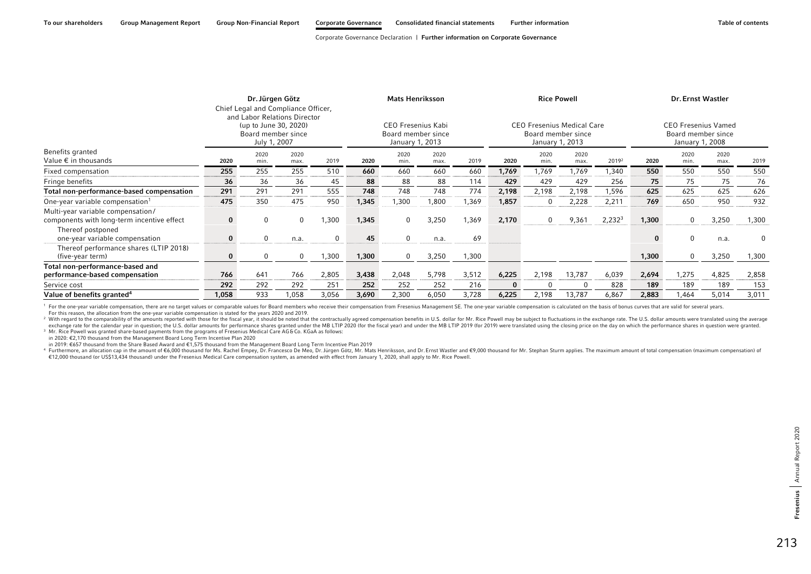|                                                                                 |       | Dr. Jürgen Götz<br>(up to June 30, 2020)<br>Board member since<br>July 1, 2007 | Chief Legal and Compliance Officer,<br>and Labor Relations Director |          |       | <b>Mats Henriksson</b><br>CEO Fresenius Kabi<br>Board member since<br>January 1, 2013 |              |       | <b>Rice Powell</b><br><b>CEO Fresenius Medical Care</b><br>Board member since<br>January 1, 2013 |              |              |                    |          | Dr. Ernst Wastler<br><b>CEO Fresenius Vamed</b><br>Board member since<br>January 1, 2008 |              |       |  |  |
|---------------------------------------------------------------------------------|-------|--------------------------------------------------------------------------------|---------------------------------------------------------------------|----------|-------|---------------------------------------------------------------------------------------|--------------|-------|--------------------------------------------------------------------------------------------------|--------------|--------------|--------------------|----------|------------------------------------------------------------------------------------------|--------------|-------|--|--|
| Benefits granted<br>Value € in thousands                                        | 2020  | 2020<br>min.                                                                   | 2020<br>max.                                                        | 2019     | 2020  | 2020<br>min.                                                                          | 2020<br>max. | 2019  | 2020                                                                                             | 2020<br>min. | 2020<br>max. | 20192              | 2020     | 2020<br>min.                                                                             | 2020<br>max. | 2019  |  |  |
| Fixed compensation                                                              | 255   | 255                                                                            | 255                                                                 | 510      | 660   | 660                                                                                   | 660          | 660   | 1,769                                                                                            | 1,769        | 1,769        | 1,340              | 550      | 550                                                                                      | 550          | 550   |  |  |
| Fringe benefits                                                                 | 36    | 36                                                                             | 36                                                                  | 45       | 88    | 88                                                                                    | 88           | 114   | 429                                                                                              | 429          | 429          | 256                | 75       | 75                                                                                       | 75           | 76    |  |  |
| Total non-performance-based compensation                                        | 291   | 291                                                                            | 291                                                                 | 555      | 748   | 748                                                                                   | 748          | 774   | 2,198                                                                                            | 2,198        | 2,198        | 1,596              | 625      | 625                                                                                      | 625          | 626   |  |  |
| One-year variable compensation <sup>1</sup>                                     | 475   | 350                                                                            | 475                                                                 | 950      | 1,345 | 1,300                                                                                 | 1,800        | 1,369 | 1,857                                                                                            | 0            | 2,228        | 2,211              | 769      | 650                                                                                      | 950          | 932   |  |  |
| Multi-year variable compensation/<br>components with long-term incentive effect |       | 0                                                                              | $\mathbf 0$                                                         | 1,300    | 1,345 | $\mathbf{0}$                                                                          | 3,250        | 1,369 | 2,170                                                                                            | 0            | 9,361        | 2,232 <sup>3</sup> | 1,300    | $\mathbf{0}$                                                                             | 3,250        | 1,300 |  |  |
| Thereof postponed<br>one-year variable compensation                             |       | $\Omega$                                                                       | n.a.                                                                | $\Omega$ | 45    | $\Omega$                                                                              | n.a.         | 69    |                                                                                                  |              |              |                    | $\bf{0}$ | $\Omega$                                                                                 | n.a.         | 0     |  |  |
| Thereof performance shares (LTIP 2018)<br>(five-year term)                      |       |                                                                                | $\mathbf{0}$                                                        | 1,300    | 1,300 | $\mathbf{0}$                                                                          | 3,250        | 1,300 |                                                                                                  |              |              |                    | 1,300    | $\mathbf{0}$                                                                             | 3,250        | 1,300 |  |  |
| Total non-performance-based and<br>performance-based compensation               | 766   | 641                                                                            | 766                                                                 | 2,805    | 3,438 | 2,048                                                                                 | 5,798        | 3,512 | 6,225                                                                                            | 2,198        | 13,787       | 6,039              | 2,694    | 1,275                                                                                    | 4,825        | 2,858 |  |  |
| Service cost                                                                    | 292   | 292                                                                            | 292                                                                 | 251      | 252   | 252                                                                                   | 252          | 216   | $\bf{0}$                                                                                         |              |              | 828                | 189      | 189                                                                                      | 189          | 153   |  |  |
| Value of benefits granted <sup>4</sup>                                          | 1,058 | 933                                                                            | 1,058                                                               | 3,056    | 3,690 | 2,300                                                                                 | 6,050        | 3,728 | 6,225                                                                                            | 2,198        | 13,787       | 6,867              | 2,883    | 1,464                                                                                    | 5,014        | 3,011 |  |  |

<sup>1</sup> For the one-year variable compensation, there are no target values or comparable values for Board members who receive their compensation from Fresenius Management SE. The one-year variable compensation is calculated on For this reason, the allocation from the one-year variable compensation is stated for the years 2020 and 2019.

<sup>2</sup> With regard to the comparability of the amounts reported with those for the fiscal year, it should be noted that the contractually agreed compensation benefits in U.S. dollar for Mr. Rice Powell may be subject to fluct exchange rate for the calendary was in question; the U.S. dollar amounts for performance shares granted under the MB LTIP 2020 (for the fiscal year) and under the MB LTIP 2019 (for 2019) were translated using the closing p

3 Mr. Rice Powell was granted share-based payments from the programs of Fresenius Medical Care AG&Co. KGaA as follows:

in 2020: €2,170 thousand from the Management Board Long Term Incentive Plan 2020

in 2019: €657 thousand from the Share Based Award and €1,575 thousand from the Management Board Long Term Incentive Plan 2019

4 Furthermore, an allocation cap in the amount of €6,000 thousand for Ms. Rachel Empey, Dr. Francesco De Meo, Dr. Jürgen Götz, Mr. Mats Henriksson, and Dr. Ernst Wastler and €9,000 thousand for Mr. Stephan Sturm applies. €12,000 thousand (or US\$13,434 thousand) under the Fresenius Medical Care compensation system, as amended with effect from January 1, 2020, shall apply to Mr. Rice Powell.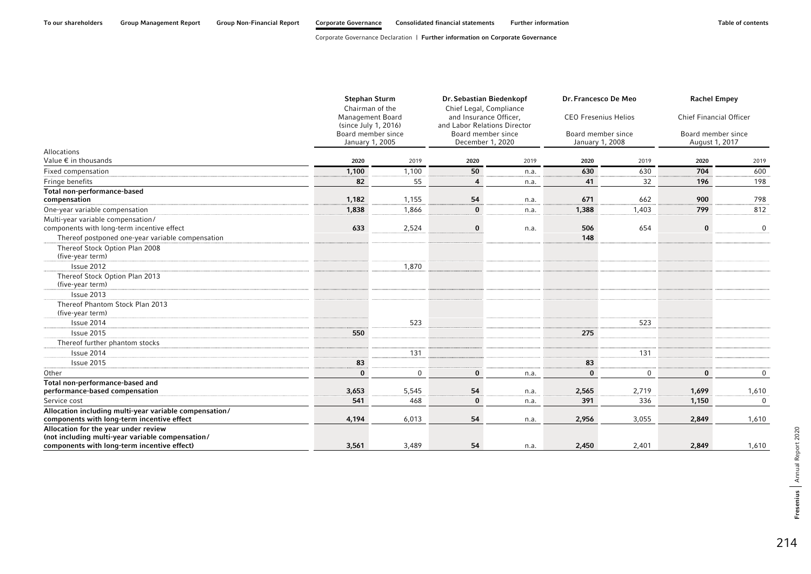|                                                                                                      | <b>Stephan Sturm</b><br>Chairman of the  |             | Dr. Sebastian Biedenkopf<br>Chief Legal, Compliance    |      | Dr. Francesco De Meo                  |             | <b>Rachel Empey</b>                  |                |  |
|------------------------------------------------------------------------------------------------------|------------------------------------------|-------------|--------------------------------------------------------|------|---------------------------------------|-------------|--------------------------------------|----------------|--|
|                                                                                                      | Management Board<br>(since July 1, 2016) |             | and Insurance Officer.<br>and Labor Relations Director |      | <b>CEO Fresenius Helios</b>           |             | <b>Chief Financial Officer</b>       |                |  |
|                                                                                                      | Board member since<br>January 1, 2005    |             | Board member since<br>December 1, 2020                 |      | Board member since<br>January 1, 2008 |             | Board member since<br>August 1, 2017 |                |  |
| <b>Allocations</b>                                                                                   |                                          |             |                                                        |      |                                       |             |                                      |                |  |
| Value € in thousands                                                                                 | 2020                                     | 2019        | 2020                                                   | 2019 | 2020                                  | 2019        | 2020                                 | 2019           |  |
| Fixed compensation                                                                                   | 1,100                                    | 1,100       | 50                                                     | n.a. | 630                                   | 630         | 704                                  | 600            |  |
| Fringe benefits                                                                                      | 82                                       | 55          | $\overline{4}$                                         | n.a. | 41                                    | 32          | 196                                  | 198            |  |
| Total non-performance-based                                                                          |                                          |             |                                                        |      |                                       |             |                                      |                |  |
| compensation                                                                                         | 1,182                                    | 1,155       | 54                                                     | n.a. | 671                                   | 662         | 900                                  | 798            |  |
| One-year variable compensation                                                                       | 1,838                                    | 1,866       | $\bf{0}$                                               | n.a. | 1,388                                 | 1,403       | 799                                  | 812            |  |
| Multi-year variable compensation/                                                                    |                                          |             |                                                        |      |                                       |             |                                      |                |  |
| components with long-term incentive effect                                                           | 633                                      | 2,524       | $\bf{0}$                                               | n.a. | 506                                   | 654         | $\bf{0}$                             | $\mathbf 0$    |  |
| Thereof postponed one-year variable compensation                                                     |                                          |             |                                                        |      | 148                                   |             |                                      |                |  |
| Thereof Stock Option Plan 2008                                                                       |                                          |             |                                                        |      |                                       |             |                                      |                |  |
| (five-year term)                                                                                     |                                          |             |                                                        |      |                                       |             |                                      |                |  |
| Issue 2012                                                                                           |                                          | 1,870       |                                                        |      |                                       |             |                                      |                |  |
| Thereof Stock Option Plan 2013                                                                       |                                          |             |                                                        |      |                                       |             |                                      |                |  |
| (five-year term)                                                                                     |                                          |             |                                                        |      |                                       |             |                                      |                |  |
| Issue 2013                                                                                           |                                          |             |                                                        |      |                                       |             |                                      |                |  |
| Thereof Phantom Stock Plan 2013                                                                      |                                          |             |                                                        |      |                                       |             |                                      |                |  |
| (five-year term)                                                                                     |                                          |             |                                                        |      |                                       |             |                                      |                |  |
| Issue 2014                                                                                           |                                          | 523         |                                                        |      |                                       | 523         |                                      |                |  |
| Issue 2015                                                                                           | 550                                      |             |                                                        |      | 275                                   |             |                                      |                |  |
| Thereof further phantom stocks                                                                       |                                          |             |                                                        |      |                                       |             |                                      |                |  |
| Issue 2014                                                                                           |                                          | 131         |                                                        |      |                                       | 131         |                                      |                |  |
| Issue 2015                                                                                           | 83                                       |             |                                                        |      | 83                                    |             |                                      |                |  |
| Other                                                                                                | $\bf{0}$                                 | $\mathbf 0$ | $\bf{0}$                                               | n.a. | $\bf{0}$                              | $\mathbf 0$ | $\bf{0}$                             | $\overline{0}$ |  |
| Total non-performance-based and                                                                      |                                          |             |                                                        |      |                                       |             |                                      |                |  |
| performance-based compensation                                                                       | 3,653                                    | 5,545       | 54                                                     | n.a. | 2,565                                 | 2,719       | 1,699                                | 1,610          |  |
| Service cost                                                                                         | 541                                      | 468         | $\bf{0}$                                               | n.a. | 391                                   | 336         | 1,150                                | $\overline{0}$ |  |
| Allocation including multi-year variable compensation/<br>components with long-term incentive effect | 4,194                                    | 6,013       | 54                                                     | n.a. | 2,956                                 | 3,055       | 2,849                                | 1,610          |  |
| Allocation for the year under review<br>(not including multi-year variable compensation/             |                                          |             |                                                        |      |                                       |             |                                      |                |  |
| components with long-term incentive effect)                                                          | 3,561                                    | 3,489       | 54                                                     | n.a. | 2,450                                 | 2,401       | 2,849                                | 1,610          |  |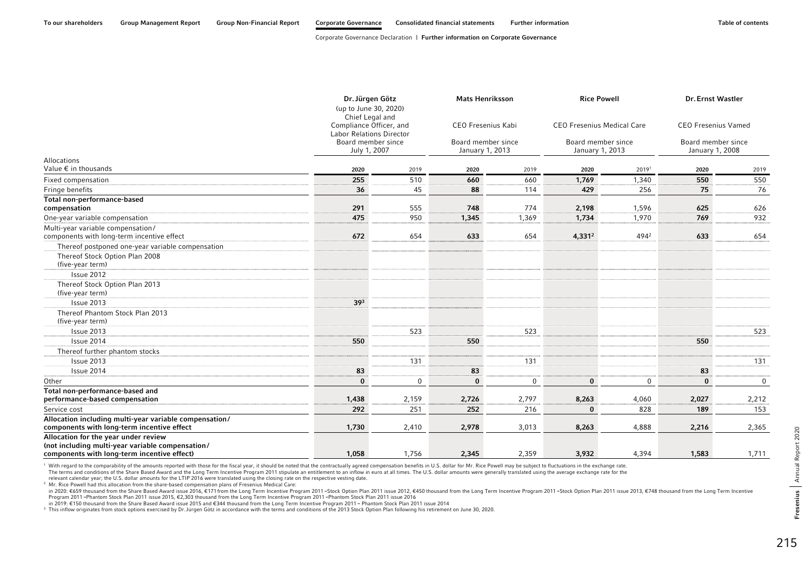|                                                                                                                                         | Dr. Jürgen Götz<br>(up to June 30, 2020)<br>Chief Legal and |             | <b>Mats Henriksson</b>                |       | <b>Rice Powell</b>                    |                  | <b>Dr. Ernst Wastler</b>              |             |
|-----------------------------------------------------------------------------------------------------------------------------------------|-------------------------------------------------------------|-------------|---------------------------------------|-------|---------------------------------------|------------------|---------------------------------------|-------------|
|                                                                                                                                         | Compliance Officer, and<br><b>Labor Relations Director</b>  |             | CEO Fresenius Kabi                    |       | <b>CEO Fresenius Medical Care</b>     |                  | <b>CEO Fresenius Vamed</b>            |             |
|                                                                                                                                         | Board member since<br>July 1, 2007                          |             | Board member since<br>January 1, 2013 |       | Board member since<br>January 1, 2013 |                  | Board member since<br>January 1, 2008 |             |
| Allocations<br>Value € in thousands                                                                                                     | 2020                                                        | 2019        | 2020                                  | 2019  | 2020                                  | 20191            | 2020                                  | 2019        |
| Fixed compensation                                                                                                                      | 255                                                         | 510         | 660                                   | 660   | 1,769                                 | 1,340            | 550                                   | 550         |
| Fringe benefits                                                                                                                         | 36                                                          | 45          | 88                                    | 114   | 429                                   | 256              | 75                                    | 76          |
| Total non-performance-based<br>compensation                                                                                             | 291                                                         | 555         | 748                                   | 774   | 2,198                                 | 1,596            | 625                                   | 626         |
| One-year variable compensation                                                                                                          | 475                                                         | 950         | 1,345                                 | 1,369 | 1,734                                 | 1,970            | 769                                   | 932         |
| Multi-year variable compensation/<br>components with long-term incentive effect                                                         | 672                                                         | 654         | 633                                   | 654   | 4,331 <sup>2</sup>                    | 4942             | 633                                   | 654         |
| Thereof postponed one-year variable compensation                                                                                        |                                                             |             |                                       |       |                                       |                  |                                       |             |
| Thereof Stock Option Plan 2008<br>(five-year term)                                                                                      |                                                             |             |                                       |       |                                       |                  |                                       |             |
| Issue 2012                                                                                                                              |                                                             |             |                                       |       |                                       |                  |                                       |             |
| Thereof Stock Option Plan 2013<br>(five-year term)                                                                                      |                                                             |             |                                       |       |                                       |                  |                                       |             |
| Issue 2013                                                                                                                              | 39 <sup>3</sup>                                             |             |                                       |       |                                       |                  |                                       |             |
| Thereof Phantom Stock Plan 2013<br>(five-year term)                                                                                     |                                                             |             |                                       |       |                                       |                  |                                       |             |
| Issue 2013                                                                                                                              |                                                             | 523         |                                       | 523   |                                       |                  |                                       | 523         |
| Issue 2014                                                                                                                              | 550                                                         |             | 550                                   |       |                                       |                  | 550                                   |             |
| Thereof further phantom stocks                                                                                                          |                                                             |             |                                       |       |                                       |                  |                                       |             |
| Issue 2013                                                                                                                              |                                                             | 131         |                                       | 131   |                                       |                  |                                       | 131         |
| Issue 2014                                                                                                                              | 83                                                          |             | 83                                    |       |                                       |                  | 83                                    |             |
| Other                                                                                                                                   | $\bf{0}$                                                    | $\mathbf 0$ | $\bf{0}$                              | 0     | $\bf{0}$                              | $\boldsymbol{0}$ | $\bf{0}$                              | $\mathbf 0$ |
| Total non-performance-based and                                                                                                         |                                                             |             |                                       |       |                                       |                  |                                       |             |
| performance-based compensation                                                                                                          | 1,438                                                       | 2,159       | 2,726                                 | 2,797 | 8,263                                 | 4,060            | 2,027                                 | 2,212       |
| Service cost                                                                                                                            | 292                                                         | 251         | 252                                   | 216   | $\bf{0}$                              | 828              | 189                                   | 153         |
| Allocation including multi-year variable compensation/<br>components with long-term incentive effect                                    | 1,730                                                       | 2,410       | 2,978                                 | 3,013 | 8,263                                 | 4,888            | 2,216                                 | 2,365       |
| Allocation for the year under review<br>(not including multi-year variable compensation/<br>components with long-term incentive effect) | 1,058                                                       | 1.756       | 2,345                                 | 2,359 | 3,932                                 | 4,394            | 1,583                                 | 1,711       |

<sup>1</sup> With regard to the comparability of the amounts reported with those for the fiscal year, it should be noted that the contractually agreed compensation benefits in U.S. dollar for Mr. Rice Powell may be subject to fluct The terms and conditions of the Share Based Award and the Long Term Incentive Program 2011 stipulate an entitlement to an inflow in euro at all times. The U.S. dollar amounts were generally translated using the average exc

relevant calendar year; the U.S. dollar amounts for the LTIP 2016 were translated using the closing rate on the respective vesting date.

<sup>2</sup> Mr. Rice Powell had this allocation from the share-based compensation plans of Fresenius Medical Care:

in 2020: €659 thousand from the Share Based Award issue 2016, €171 from the Long Term Incentive Program 2011-Stock Option Plan 2011 issue 2012, €450 thousand from the Long Term Incentive Program 2011-Stock Option Plan 201 Program 2011--Phantom Stock Plan 2011 issue 2015, €2,303 thousand from the Long Term Incentive Program 2011--Phantom Stock Plan 2011 issue 2016

in 2019: €150 thousand from the Share Based Award issue 2015 and €344 thousand from the Long Term Incentive Program 2011 – Phantom Stock Plan 2011 issue 2014<br><sup>3</sup> This inflow originates from stock options exercised by Dr.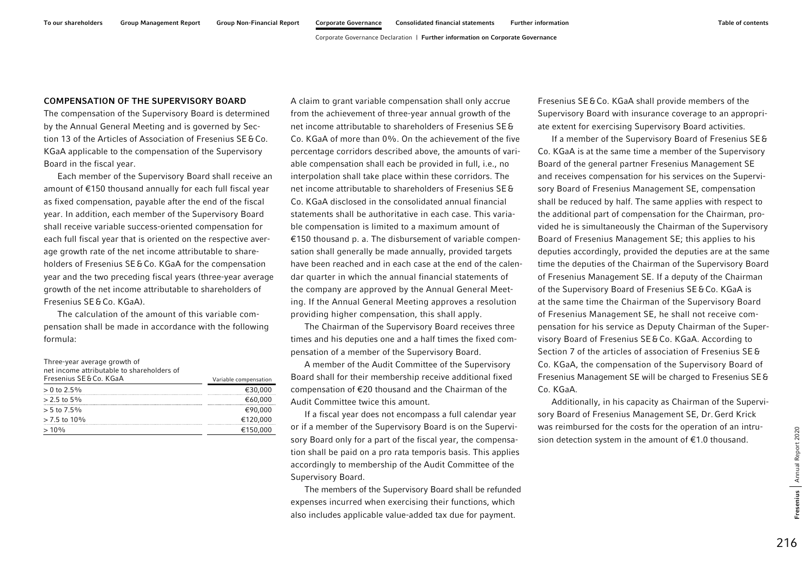### COMPENSATION OF THE SUPERVISORY BOARD

The compensation of the Supervisory Board is determined by the Annual General Meeting and is governed by Section 13 of the Articles of Association of Fresenius SE&Co. KGaA applicable to the compensation of the Supervisory Board in the fiscal year.

Each member of the Supervisory Board shall receive an amount of €150 thousand annually for each full fiscal year as fixed compensation, payable after the end of the fiscal year. In addition, each member of the Supervisory Board shall receive variable success-oriented compensation for each full fiscal year that is oriented on the respective average growth rate of the net income attributable to shareholders of Fresenius SE&Co. KGaA for the compensation year and the two preceding fiscal years (three-year average growth of the net income attributable to shareholders of Fresenius SE&Co. KGaA).

The calculation of the amount of this variable compensation shall be made in accordance with the following formula:

| Three-year average growth of<br>net income attributable to shareholders of<br>Fresenius SE & Co. KGaA |                       |
|-------------------------------------------------------------------------------------------------------|-----------------------|
|                                                                                                       | Variable compensation |
| $> 0$ to 2.5%                                                                                         | €30.000               |
| $> 2.5$ to 5%                                                                                         | €60.000               |
| $> 5$ to 7.5%                                                                                         | €90.000               |
| $> 7.5$ to 10%                                                                                        | €120.000              |
| $>10\%$                                                                                               | €150,000              |
|                                                                                                       |                       |

A claim to grant variable compensation shall only accrue from the achievement of three-year annual growth of the net income attributable to shareholders of Fresenius SE&Co. KGaA of more than 0%. On the achievement of the five percentage corridors described above, the amounts of variable compensation shall each be provided in full, i.e., no interpolation shall take place within these corridors. The net income attributable to shareholders of Fresenius SE&Co. KGaA disclosed in the consolidated annual financial statements shall be authoritative in each case. This variable compensation is limited to a maximum amount of €150 thousand p. a. The disbursement of variable compensation shall generally be made annually, provided targets have been reached and in each case at the end of the calendar quarter in which the annual financial statements of the company are approved by the Annual General Meeting. If the Annual General Meeting approves a resolution providing higher compensation, this shall apply.

The Chairman of the Supervisory Board receives three times and his deputies one and a half times the fixed compensation of a member of the Supervisory Board.

A member of the Audit Committee of the Supervisory Board shall for their membership receive additional fixed compensation of €20 thousand and the Chairman of the Audit Committee twice this amount.

If a fiscal year does not encompass a full calendar year or if a member of the Supervisory Board is on the Supervisory Board only for a part of the fiscal year, the compensation shall be paid on a pro rata temporis basis. This applies accordingly to membership of the Audit Committee of the Supervisory Board.

The members of the Supervisory Board shall be refunded expenses incurred when exercising their functions, which also includes applicable value-added tax due for payment.

Fresenius SE&Co. KGaA shall provide members of the Supervisory Board with insurance coverage to an appropriate extent for exercising Supervisory Board activities.

If a member of the Supervisory Board of Fresenius SE& Co. KGaA is at the same time a member of the Supervisory Board of the general partner Fresenius Management SE and receives compensation for his services on the Supervisory Board of Fresenius Management SE, compensation shall be reduced by half. The same applies with respect to the additional part of compensation for the Chairman, provided he is simultaneously the Chairman of the Supervisory Board of Fresenius Management SE; this applies to his deputies accordingly, provided the deputies are at the same time the deputies of the Chairman of the Supervisory Board of Fresenius Management SE. If a deputy of the Chairman of the Supervisory Board of Fresenius SE&Co. KGaA is at the same time the Chairman of the Supervisory Board of Fresenius Management SE, he shall not receive compensation for his service as Deputy Chairman of the Supervisory Board of Fresenius SE&Co. KGaA. According to Section 7 of the articles of association of Fresenius SE&Co. KGaA, the compensation of the Supervisory Board of Fresenius Management SE will be charged to Fresenius SE& Co. KGaA.

Additionally, in his capacity as Chairman of the Supervisory Board of Fresenius Management SE, Dr. Gerd Krick was reimbursed for the costs for the operation of an intrusion detection system in the amount of €1.0 thousand.

216

Annual Report 2020

Fresenius Annual Report 2020

Fresenius